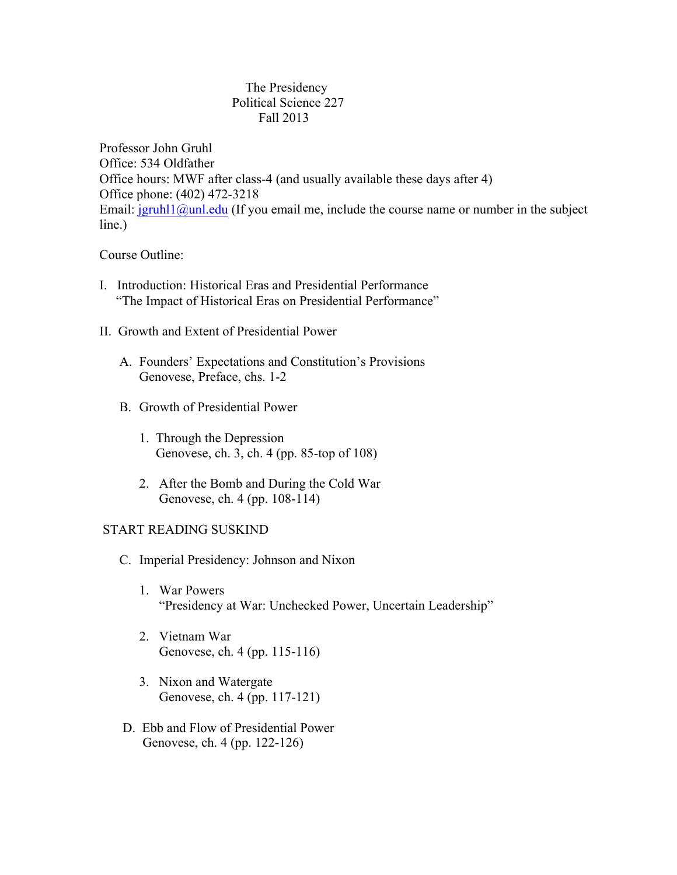## The Presidency Political Science 227 Fall 2013

Professor John Gruhl Office: 534 Oldfather Office hours: MWF after class-4 (and usually available these days after 4) Office phone: (402) 472-3218 Email:  $jgruhl1@unl.edu$  (If you email me, include the course name or number in the subject line.)

## Course Outline:

- I. Introduction: Historical Eras and Presidential Performance "The Impact of Historical Eras on Presidential Performance"
- II. Growth and Extent of Presidential Power
	- A. Founders' Expectations and Constitution's Provisions Genovese, Preface, chs. 1-2
	- B. Growth of Presidential Power
		- 1. Through the Depression Genovese, ch. 3, ch. 4 (pp. 85-top of 108)
		- 2. After the Bomb and During the Cold War Genovese, ch. 4 (pp. 108-114)

# START READING SUSKIND

- C. Imperial Presidency: Johnson and Nixon
	- 1. War Powers "Presidency at War: Unchecked Power, Uncertain Leadership"
	- 2. Vietnam War Genovese, ch. 4 (pp. 115-116)
	- 3. Nixon and Watergate Genovese, ch. 4 (pp. 117-121)
- D. Ebb and Flow of Presidential Power Genovese, ch. 4 (pp. 122-126)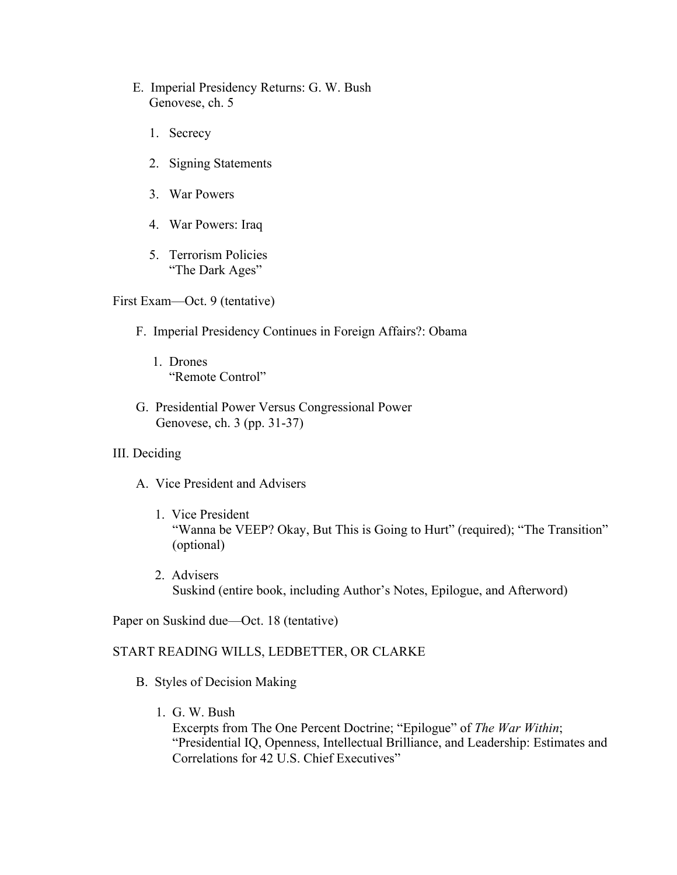- E. Imperial Presidency Returns: G. W. Bush Genovese, ch. 5
	- 1. Secrecy
	- 2. Signing Statements
	- 3. War Powers
	- 4. War Powers: Iraq
	- 5. Terrorism Policies "The Dark Ages"

First Exam—Oct. 9 (tentative)

- F. Imperial Presidency Continues in Foreign Affairs?: Obama
	- 1. Drones "Remote Control"
- G. Presidential Power Versus Congressional Power Genovese, ch. 3 (pp. 31-37)
- III. Deciding
	- A. Vice President and Advisers
		- 1. Vice President "Wanna be VEEP? Okay, But This is Going to Hurt" (required); "The Transition" (optional)
		- 2. Advisers Suskind (entire book, including Author's Notes, Epilogue, and Afterword)

Paper on Suskind due—Oct. 18 (tentative)

## START READING WILLS, LEDBETTER, OR CLARKE

- B. Styles of Decision Making
	- 1. G. W. Bush

 Excerpts from The One Percent Doctrine; "Epilogue" of *The War Within*; "Presidential IQ, Openness, Intellectual Brilliance, and Leadership: Estimates and Correlations for 42 U.S. Chief Executives"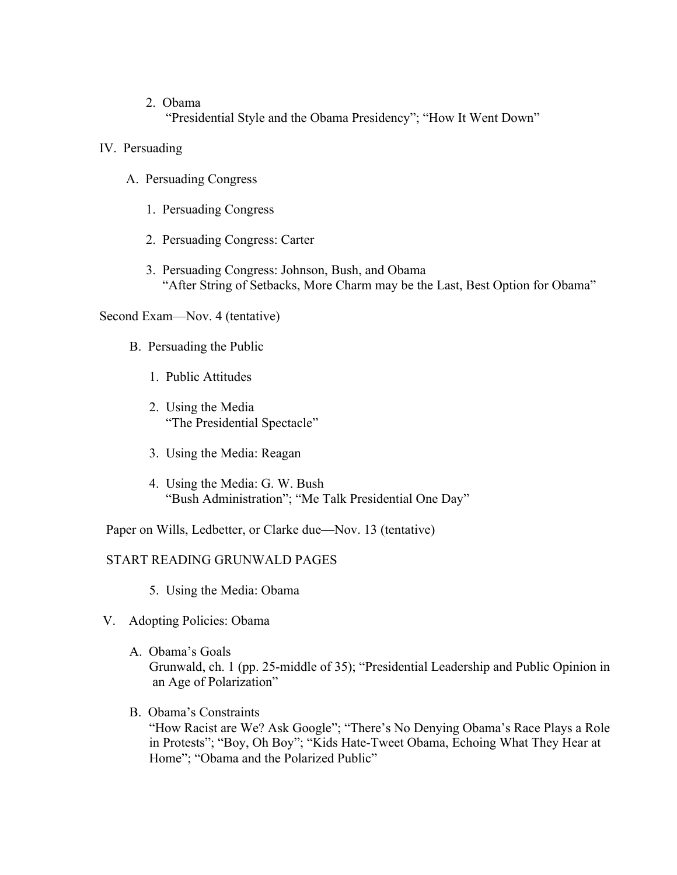2. Obama

"Presidential Style and the Obama Presidency"; "How It Went Down"

- IV. Persuading
	- A. Persuading Congress
		- 1. Persuading Congress
		- 2. Persuading Congress: Carter
		- 3. Persuading Congress: Johnson, Bush, and Obama "After String of Setbacks, More Charm may be the Last, Best Option for Obama"

Second Exam—Nov. 4 (tentative)

- B. Persuading the Public
	- 1. Public Attitudes
	- 2. Using the Media "The Presidential Spectacle"
	- 3. Using the Media: Reagan
	- 4. Using the Media: G. W. Bush "Bush Administration"; "Me Talk Presidential One Day"

Paper on Wills, Ledbetter, or Clarke due—Nov. 13 (tentative)

# START READING GRUNWALD PAGES

- 5. Using the Media: Obama
- V. Adopting Policies: Obama
	- A. Obama's Goals Grunwald, ch. 1 (pp. 25-middle of 35); "Presidential Leadership and Public Opinion in an Age of Polarization"
	- B. Obama's Constraints

"How Racist are We? Ask Google"; "There's No Denying Obama's Race Plays a Role in Protests"; "Boy, Oh Boy"; "Kids Hate-Tweet Obama, Echoing What They Hear at Home"; "Obama and the Polarized Public"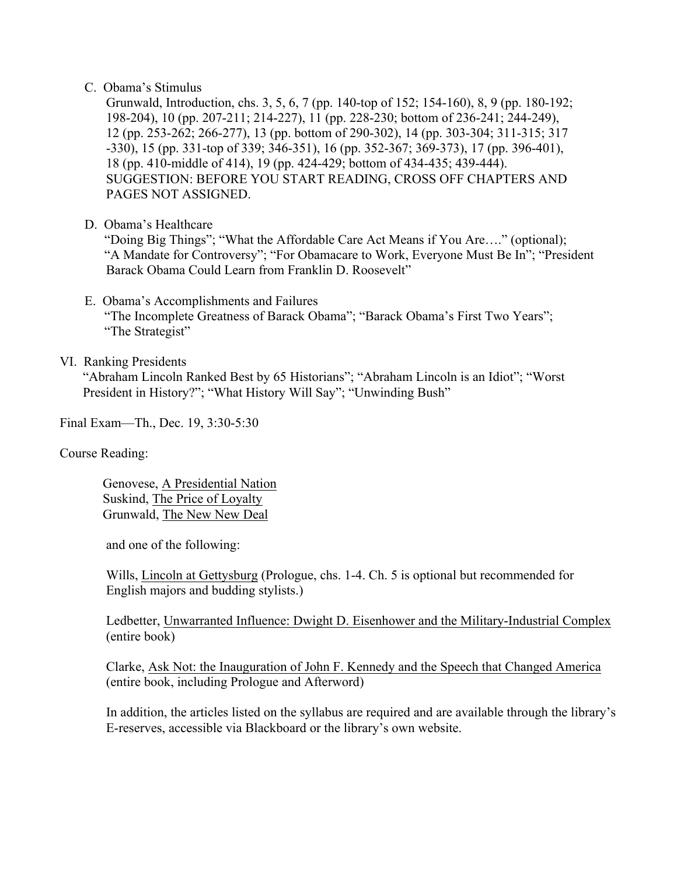## C. Obama's Stimulus

 Grunwald, Introduction, chs. 3, 5, 6, 7 (pp. 140-top of 152; 154-160), 8, 9 (pp. 180-192; 198-204), 10 (pp. 207-211; 214-227), 11 (pp. 228-230; bottom of 236-241; 244-249), 12 (pp. 253-262; 266-277), 13 (pp. bottom of 290-302), 14 (pp. 303-304; 311-315; 317 -330), 15 (pp. 331-top of 339; 346-351), 16 (pp. 352-367; 369-373), 17 (pp. 396-401), 18 (pp. 410-middle of 414), 19 (pp. 424-429; bottom of 434-435; 439-444). SUGGESTION: BEFORE YOU START READING, CROSS OFF CHAPTERS AND PAGES NOT ASSIGNED.

D. Obama's Healthcare

 "Doing Big Things"; "What the Affordable Care Act Means if You Are…." (optional); "A Mandate for Controversy"; "For Obamacare to Work, Everyone Must Be In"; "President Barack Obama Could Learn from Franklin D. Roosevelt"

- E. Obama's Accomplishments and Failures "The Incomplete Greatness of Barack Obama"; "Barack Obama's First Two Years"; "The Strategist"
- VI. Ranking Presidents

 "Abraham Lincoln Ranked Best by 65 Historians"; "Abraham Lincoln is an Idiot"; "Worst President in History?"; "What History Will Say"; "Unwinding Bush"

Final Exam—Th., Dec. 19, 3:30-5:30

Course Reading:

 Genovese, A Presidential Nation Suskind, The Price of Loyalty Grunwald, The New New Deal

and one of the following:

Wills, *Lincoln at Gettysburg* (Prologue, chs. 1-4. Ch. 5 is optional but recommended for English majors and budding stylists.)

 Ledbetter, Unwarranted Influence: Dwight D. Eisenhower and the Military-Industrial Complex (entire book)

 Clarke, Ask Not: the Inauguration of John F. Kennedy and the Speech that Changed America (entire book, including Prologue and Afterword)

 In addition, the articles listed on the syllabus are required and are available through the library's E-reserves, accessible via Blackboard or the library's own website.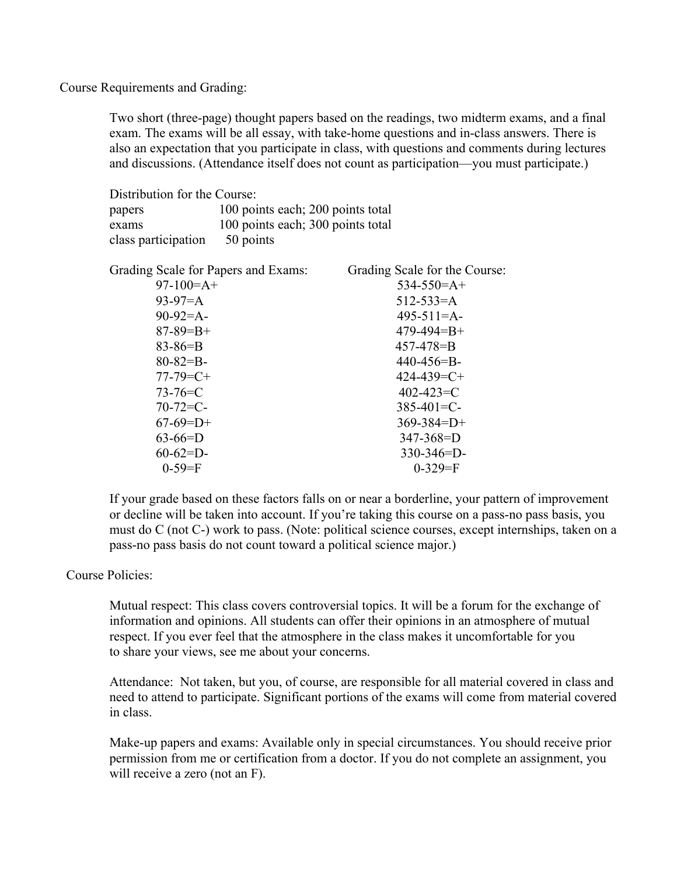Course Requirements and Grading:

Two short (three-page) thought papers based on the readings, two midterm exams, and a final exam. The exams will be all essay, with take-home questions and in-class answers. There is also an expectation that you participate in class, with questions and comments during lectures and discussions. (Attendance itself does not count as participation—you must participate.)

| Distribution for the Course: |                                   |
|------------------------------|-----------------------------------|
| papers                       | 100 points each; 200 points total |
| exams                        | 100 points each; 300 points total |
| class participation          | 50 points                         |

| $534 - 550 = A +$ |
|-------------------|
| $512 - 533 = A$   |
| $495 - 511 = A -$ |
| $479 - 494 = B +$ |
| $457 - 478 = B$   |
| $440 - 456 = B$   |
| $424 - 439 = C +$ |
| $402 - 423 = C$   |
| $385 - 401 = C$   |
| $369 - 384 = D +$ |
| $347 - 368 = D$   |
| $330 - 346 = D$   |
| $0-329=F$         |
|                   |

If your grade based on these factors falls on or near a borderline, your pattern of improvement or decline will be taken into account. If you're taking this course on a pass-no pass basis, you must do C (not C-) work to pass. (Note: political science courses, except internships, taken on a pass-no pass basis do not count toward a political science major.)

## Course Policies:

Mutual respect: This class covers controversial topics. It will be a forum for the exchange of information and opinions. All students can offer their opinions in an atmosphere of mutual respect. If you ever feel that the atmosphere in the class makes it uncomfortable for you to share your views, see me about your concerns.

Attendance: Not taken, but you, of course, are responsible for all material covered in class and need to attend to participate. Significant portions of the exams will come from material covered in class.

Make-up papers and exams: Available only in special circumstances. You should receive prior permission from me or certification from a doctor. If you do not complete an assignment, you will receive a zero (not an F).